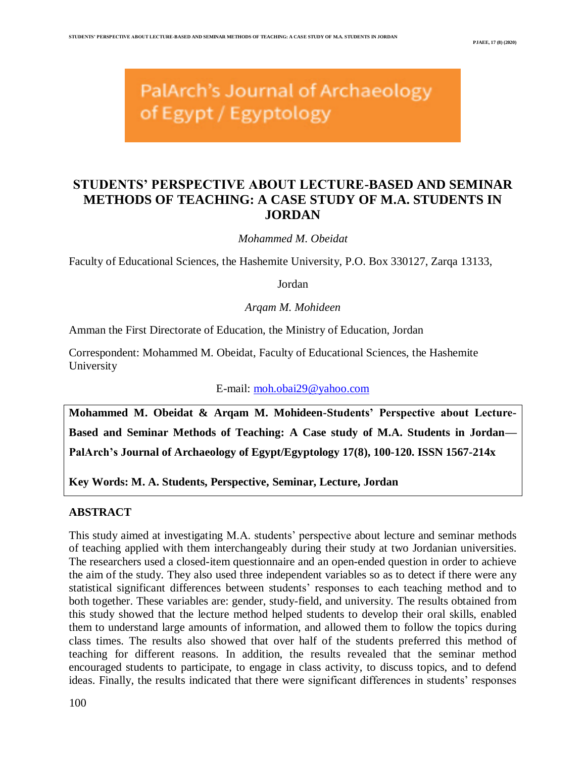# PalArch's Journal of Archaeology of Egypt / Egyptology

# **STUDENTS' PERSPECTIVE ABOUT LECTURE-BASED AND SEMINAR METHODS OF TEACHING: A CASE STUDY OF M.A. STUDENTS IN JORDAN**

*Mohammed M. Obeidat*

Faculty of Educational Sciences, the Hashemite University, P.O. Box 330127, Zarqa 13133,

Jordan

*Arqam M. Mohideen*

Amman the First Directorate of Education, the Ministry of Education, Jordan

Correspondent: Mohammed M. Obeidat, Faculty of Educational Sciences, the Hashemite University

E-mail: [moh.obai29@yahoo.com](mailto:moh.obai29@yahoo.com)

**Mohammed M. Obeidat & Arqam M. Mohideen-Students' Perspective about Lecture-Based and Seminar Methods of Teaching: A Case study of M.A. Students in Jordan— PalArch's Journal of Archaeology of Egypt/Egyptology 17(8), 100-120. ISSN 1567-214x**

**Key Words: M. A. Students, Perspective, Seminar, Lecture, Jordan** 

# **ABSTRACT**

This study aimed at investigating M.A. students' perspective about lecture and seminar methods of teaching applied with them interchangeably during their study at two Jordanian universities. The researchers used a closed-item questionnaire and an open-ended question in order to achieve the aim of the study. They also used three independent variables so as to detect if there were any statistical significant differences between students' responses to each teaching method and to both together. These variables are: gender, study-field, and university. The results obtained from this study showed that the lecture method helped students to develop their oral skills, enabled them to understand large amounts of information, and allowed them to follow the topics during class times. The results also showed that over half of the students preferred this method of teaching for different reasons. In addition, the results revealed that the seminar method encouraged students to participate, to engage in class activity, to discuss topics, and to defend ideas. Finally, the results indicated that there were significant differences in students' responses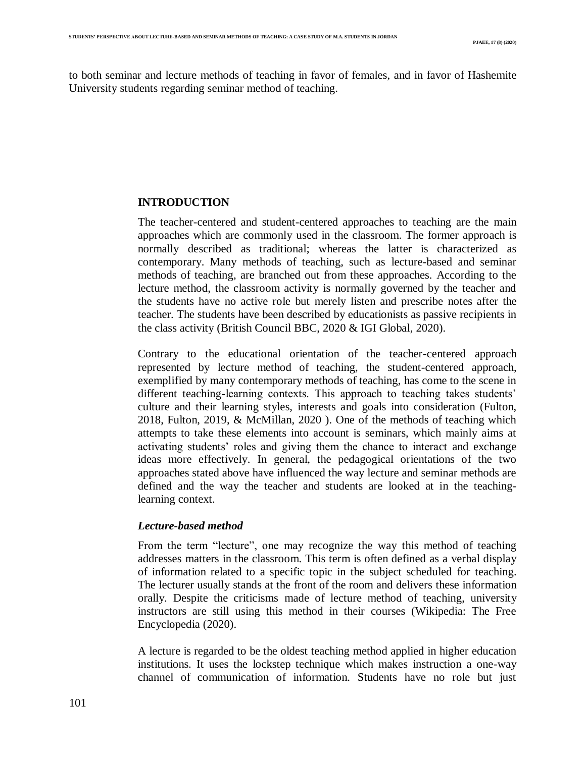to both seminar and lecture methods of teaching in favor of females, and in favor of Hashemite University students regarding seminar method of teaching.

# **INTRODUCTION**

The teacher-centered and student-centered approaches to teaching are the main approaches which are commonly used in the classroom. The former approach is normally described as traditional; whereas the latter is characterized as contemporary. Many methods of teaching, such as lecture-based and seminar methods of teaching, are branched out from these approaches. According to the lecture method, the classroom activity is normally governed by the teacher and the students have no active role but merely listen and prescribe notes after the teacher. The students have been described by educationists as passive recipients in the class activity (British Council BBC, 2020 & IGI Global, 2020).

Contrary to the educational orientation of the teacher-centered approach represented by lecture method of teaching, the student-centered approach, exemplified by many contemporary methods of teaching, has come to the scene in different teaching-learning contexts. This approach to teaching takes students' culture and their learning styles, interests and goals into consideration (Fulton, 2018, Fulton, 2019, & McMillan, 2020 ). One of the methods of teaching which attempts to take these elements into account is seminars, which mainly aims at activating students' roles and giving them the chance to interact and exchange ideas more effectively. In general, the pedagogical orientations of the two approaches stated above have influenced the way lecture and seminar methods are defined and the way the teacher and students are looked at in the teachinglearning context.

# *Lecture-based method*

From the term "lecture", one may recognize the way this method of teaching addresses matters in the classroom. This term is often defined as a verbal display of information related to a specific topic in the subject scheduled for teaching. The lecturer usually stands at the front of the room and delivers these information orally. Despite the criticisms made of lecture method of teaching, university instructors are still using this method in their courses (Wikipedia: The Free Encyclopedia (2020).

A lecture is regarded to be the oldest teaching method applied in higher education institutions. It uses the lockstep technique which makes instruction a one-way channel of communication of information. Students have no role but just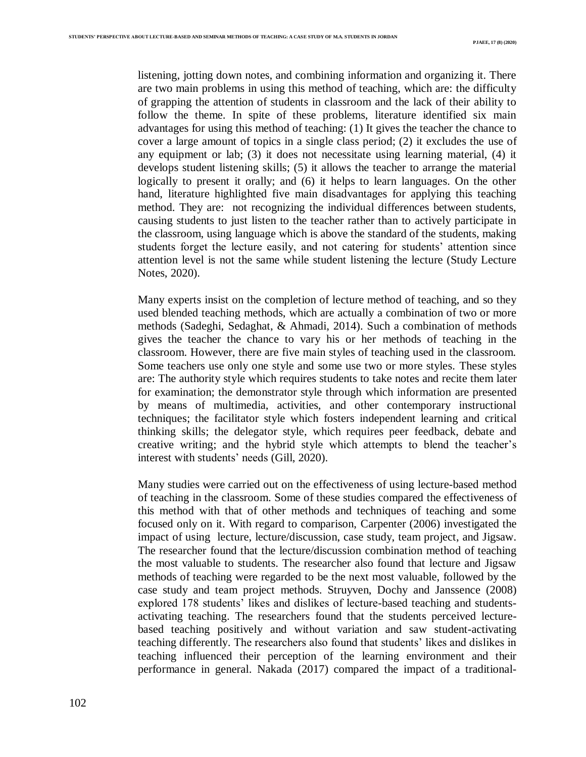listening, jotting down notes, and combining information and organizing it. There are two main problems in using this method of teaching, which are: the difficulty of grapping the attention of students in classroom and the lack of their ability to follow the theme. In spite of these problems, literature identified six main advantages for using this method of teaching: (1) It gives the teacher the chance to cover a large amount of topics in a single class period; (2) it excludes the use of any equipment or lab; (3) it does not necessitate using learning material, (4) it develops student listening skills; (5) it allows the teacher to arrange the material logically to present it orally; and (6) it helps to learn languages. On the other hand, literature highlighted five main disadvantages for applying this teaching method. They are: not recognizing the individual differences between students, causing students to just listen to the teacher rather than to actively participate in the classroom, using language which is above the standard of the students, making students forget the lecture easily, and not catering for students' attention since attention level is not the same while student listening the lecture (Study Lecture Notes, 2020).

Many experts insist on the completion of lecture method of teaching, and so they used blended teaching methods, which are actually a combination of two or more methods (Sadeghi, Sedaghat, & Ahmadi, 2014). Such a combination of methods gives the teacher the chance to vary his or her methods of teaching in the classroom. However, there are five main styles of teaching used in the classroom. Some teachers use only one style and some use two or more styles. These styles are: The authority style which requires students to take notes and recite them later for examination; the demonstrator style through which information are presented by means of multimedia, activities, and other contemporary instructional techniques; the facilitator style which fosters independent learning and critical thinking skills; the delegator style, which requires peer feedback, debate and creative writing; and the hybrid style which attempts to blend the teacher's interest with students' needs (Gill, 2020).

Many studies were carried out on the effectiveness of using lecture-based method of teaching in the classroom. Some of these studies compared the effectiveness of this method with that of other methods and techniques of teaching and some focused only on it. With regard to comparison, Carpenter (2006) investigated the impact of using lecture, lecture/discussion, case study, team project, and Jigsaw. The researcher found that the lecture/discussion combination method of teaching the most valuable to students. The researcher also found that lecture and Jigsaw methods of teaching were regarded to be the next most valuable, followed by the case study and team project methods. Struyven, Dochy and Janssence (2008) explored 178 students' likes and dislikes of lecture-based teaching and studentsactivating teaching. The researchers found that the students perceived lecturebased teaching positively and without variation and saw student-activating teaching differently. The researchers also found that students' likes and dislikes in teaching influenced their perception of the learning environment and their performance in general. Nakada (2017) compared the impact of a traditional-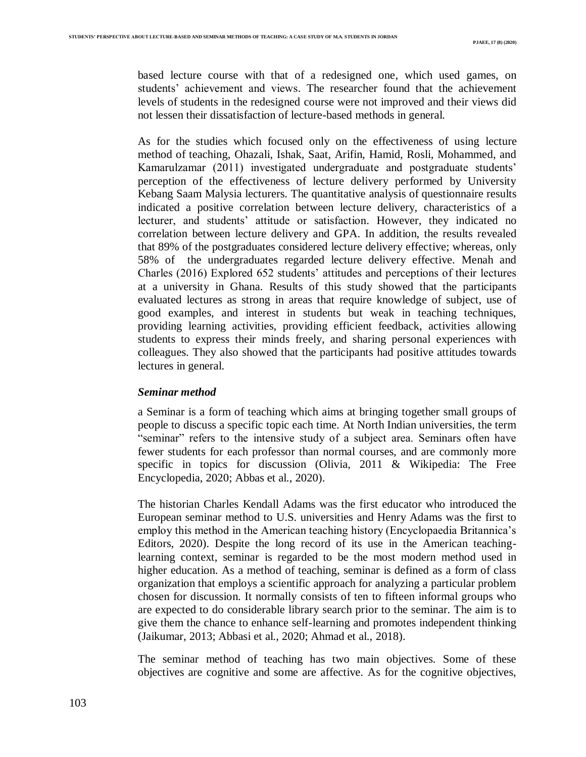based lecture course with that of a redesigned one, which used games, on students' achievement and views. The researcher found that the achievement levels of students in the redesigned course were not improved and their views did not lessen their dissatisfaction of lecture-based methods in general.

As for the studies which focused only on the effectiveness of using lecture method of teaching, Ohazali, Ishak, Saat, Arifin, Hamid, Rosli, Mohammed, and Kamarulzamar (2011) investigated undergraduate and postgraduate students' perception of the effectiveness of lecture delivery performed by University Kebang Saam Malysia lecturers. The quantitative analysis of questionnaire results indicated a positive correlation between lecture delivery, characteristics of a lecturer, and students' attitude or satisfaction. However, they indicated no correlation between lecture delivery and GPA. In addition, the results revealed that 89% of the postgraduates considered lecture delivery effective; whereas, only 58% of the undergraduates regarded lecture delivery effective. Menah and Charles (2016) Explored 652 students' attitudes and perceptions of their lectures at a university in Ghana. Results of this study showed that the participants evaluated lectures as strong in areas that require knowledge of subject, use of good examples, and interest in students but weak in teaching techniques, providing learning activities, providing efficient feedback, activities allowing students to express their minds freely, and sharing personal experiences with colleagues. They also showed that the participants had positive attitudes towards lectures in general.

#### *Seminar method*

a Seminar is a form of teaching which aims at bringing together small groups of people to discuss a specific topic each time. At North Indian universities, the term "seminar" refers to the intensive study of a subject area. Seminars often have fewer students for each professor than normal courses, and are commonly more specific in topics for discussion (Olivia, 2011 & Wikipedia: The Free Encyclopedia, 2020; Abbas et al., 2020).

The historian Charles Kendall Adams was the first educator who introduced the European seminar method to U.S. universities and Henry Adams was the first to employ this method in the American teaching history (Encyclopaedia Britannica's Editors, 2020). Despite the long record of its use in the American teachinglearning context, seminar is regarded to be the most modern method used in higher education. As a method of teaching, seminar is defined as a form of class organization that employs a scientific approach for analyzing a particular problem chosen for discussion. It normally consists of ten to fifteen informal groups who are expected to do considerable library search prior to the seminar. The aim is to give them the chance to enhance self-learning and promotes independent thinking (Jaikumar, 2013; Abbasi et al., 2020; Ahmad et al., 2018).

The seminar method of teaching has two main objectives. Some of these objectives are cognitive and some are affective. As for the cognitive objectives,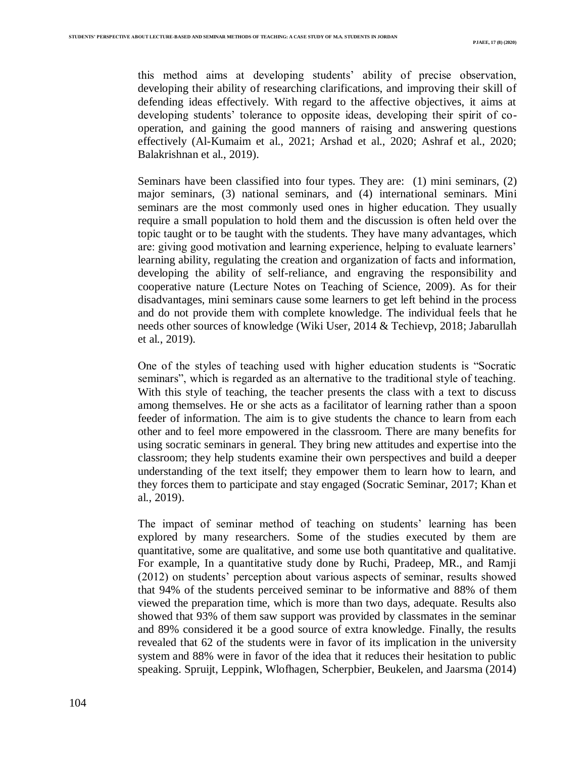this method aims at developing students' ability of precise observation, developing their ability of researching clarifications, and improving their skill of defending ideas effectively. With regard to the affective objectives, it aims at developing students' tolerance to opposite ideas, developing their spirit of cooperation, and gaining the good manners of raising and answering questions effectively (Al-Kumaim et al., 2021; Arshad et al., 2020; Ashraf et al., 2020; Balakrishnan et al., 2019).

Seminars have been classified into four types. They are: (1) mini seminars, (2) major seminars, (3) national seminars, and (4) international seminars. Mini seminars are the most commonly used ones in higher education. They usually require a small population to hold them and the discussion is often held over the topic taught or to be taught with the students. They have many advantages, which are: giving good motivation and learning experience, helping to evaluate learners' learning ability, regulating the creation and organization of facts and information, developing the ability of self-reliance, and engraving the responsibility and cooperative nature (Lecture Notes on Teaching of Science, 2009). As for their disadvantages, mini seminars cause some learners to get left behind in the process and do not provide them with complete knowledge. The individual feels that he needs other sources of knowledge (Wiki User, 2014 & Techievp, 2018; Jabarullah et al., 2019).

One of the styles of teaching used with higher education students is "Socratic seminars", which is regarded as an alternative to the traditional style of teaching. With this style of teaching, the teacher presents the class with a text to discuss among themselves. He or she acts as a facilitator of learning rather than a spoon feeder of information. The aim is to give students the chance to learn from each other and to feel more empowered in the classroom. There are many benefits for using socratic seminars in general. They bring new attitudes and expertise into the classroom; they help students examine their own perspectives and build a deeper understanding of the text itself; they empower them to learn how to learn, and they forces them to participate and stay engaged (Socratic Seminar, 2017; Khan et al., 2019).

The impact of seminar method of teaching on students' learning has been explored by many researchers. Some of the studies executed by them are quantitative, some are qualitative, and some use both quantitative and qualitative. For example, In a quantitative study done by Ruchi, Pradeep, MR., and Ramji (2012) on students' perception about various aspects of seminar, results showed that 94% of the students perceived seminar to be informative and 88% of them viewed the preparation time, which is more than two days, adequate. Results also showed that 93% of them saw support was provided by classmates in the seminar and 89% considered it be a good source of extra knowledge. Finally, the results revealed that 62 of the students were in favor of its implication in the university system and 88% were in favor of the idea that it reduces their hesitation to public speaking. Spruijt, Leppink, Wlofhagen, Scherpbier, Beukelen, and Jaarsma (2014)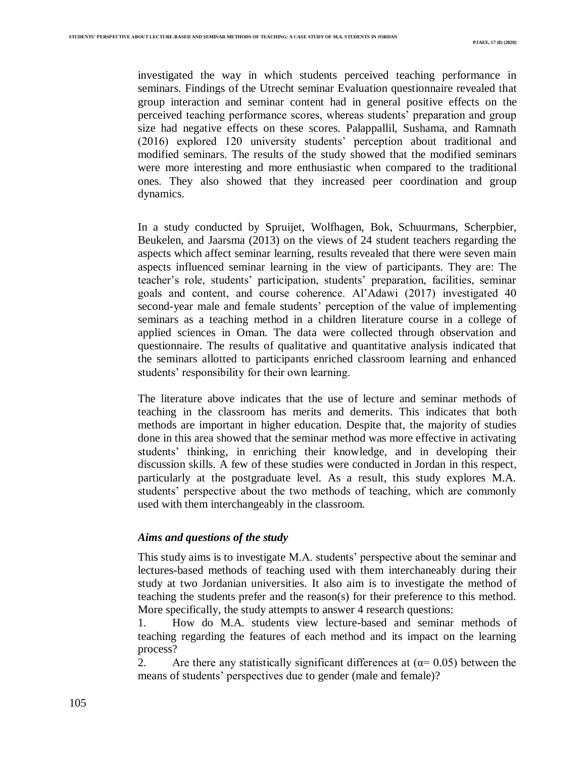investigated the way in which students perceived teaching performance in seminars. Findings of the Utrecht seminar Evaluation questionnaire revealed that group interaction and seminar content had in general positive effects on the perceived teaching performance scores, whereas students' preparation and group size had negative effects on these scores. Palappallil, Sushama, and Ramnath (2016) explored 120 university students' perception about traditional and modified seminars. The results of the study showed that the modified seminars were more interesting and more enthusiastic when compared to the traditional ones. They also showed that they increased peer coordination and group dynamics.

In a study conducted by Spruijet, Wolfhagen, Bok, Schuurmans, Scherpbier, Beukelen, and Jaarsma (2013) on the views of 24 student teachers regarding the aspects which affect seminar learning, results revealed that there were seven main aspects influenced seminar learning in the view of participants. They are: The teacher's role, students' participation, students' preparation, facilities, seminar goals and content, and course coherence. Al'Adawi (2017) investigated 40 second-year male and female students' perception of the value of implementing seminars as a teaching method in a children literature course in a college of applied sciences in Oman. The data were collected through observation and questionnaire. The results of qualitative and quantitative analysis indicated that the seminars allotted to participants enriched classroom learning and enhanced students' responsibility for their own learning.

The literature above indicates that the use of lecture and seminar methods of teaching in the classroom has merits and demerits. This indicates that both methods are important in higher education. Despite that, the majority of studies done in this area showed that the seminar method was more effective in activating students' thinking, in enriching their knowledge, and in developing their discussion skills. A few of these studies were conducted in Jordan in this respect, particularly at the postgraduate level. As a result, this study explores M.A. students' perspective about the two methods of teaching, which are commonly used with them interchangeably in the classroom.

#### *Aims and questions of the study*

This study aims is to investigate M.A. students' perspective about the seminar and lectures-based methods of teaching used with them interchaneably during their study at two Jordanian universities. It also aim is to investigate the method of teaching the students prefer and the reason(s) for their preference to this method. More specifically, the study attempts to answer 4 research questions:

1. How do M.A. students view lecture-based and seminar methods of teaching regarding the features of each method and its impact on the learning process?

2. Are there any statistically significant differences at  $(\alpha = 0.05)$  between the means of students' perspectives due to gender (male and female)?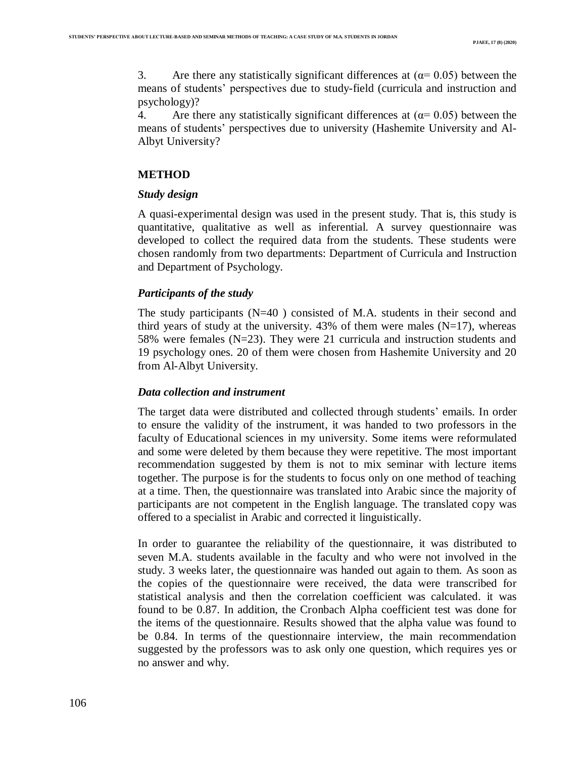3. Are there any statistically significant differences at  $(\alpha = 0.05)$  between the means of students' perspectives due to study-field (curricula and instruction and psychology)?

4. Are there any statistically significant differences at  $(\alpha = 0.05)$  between the means of students' perspectives due to university (Hashemite University and Al-Albyt University?

#### **METHOD**

#### *Study design*

A quasi-experimental design was used in the present study. That is, this study is quantitative, qualitative as well as inferential. A survey questionnaire was developed to collect the required data from the students. These students were chosen randomly from two departments: Department of Curricula and Instruction and Department of Psychology.

## *Participants of the study*

The study participants  $(N=40)$  consisted of M.A. students in their second and third years of study at the university.  $43\%$  of them were males (N=17), whereas 58% were females ( $N=23$ ). They were 21 curricula and instruction students and 19 psychology ones. 20 of them were chosen from Hashemite University and 20 from Al-Albyt University.

#### *Data collection and instrument*

The target data were distributed and collected through students' emails. In order to ensure the validity of the instrument, it was handed to two professors in the faculty of Educational sciences in my university. Some items were reformulated and some were deleted by them because they were repetitive. The most important recommendation suggested by them is not to mix seminar with lecture items together. The purpose is for the students to focus only on one method of teaching at a time. Then, the questionnaire was translated into Arabic since the majority of participants are not competent in the English language. The translated copy was offered to a specialist in Arabic and corrected it linguistically.

In order to guarantee the reliability of the questionnaire, it was distributed to seven M.A. students available in the faculty and who were not involved in the study. 3 weeks later, the questionnaire was handed out again to them. As soon as the copies of the questionnaire were received, the data were transcribed for statistical analysis and then the correlation coefficient was calculated. it was found to be 0.87. In addition, the Cronbach Alpha coefficient test was done for the items of the questionnaire. Results showed that the alpha value was found to be 0.84. In terms of the questionnaire interview, the main recommendation suggested by the professors was to ask only one question, which requires yes or no answer and why.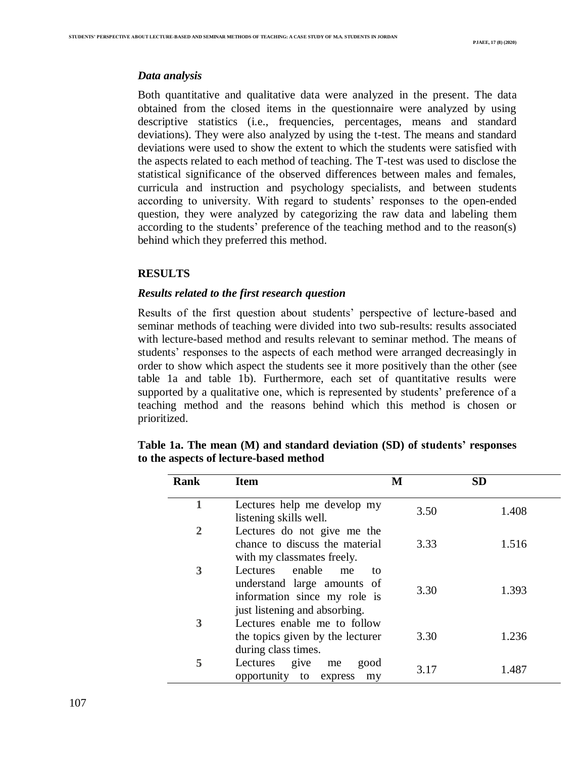#### *Data analysis*

Both quantitative and qualitative data were analyzed in the present. The data obtained from the closed items in the questionnaire were analyzed by using descriptive statistics (i.e., frequencies, percentages, means and standard deviations). They were also analyzed by using the t-test. The means and standard deviations were used to show the extent to which the students were satisfied with the aspects related to each method of teaching. The T-test was used to disclose the statistical significance of the observed differences between males and females, curricula and instruction and psychology specialists, and between students according to university. With regard to students' responses to the open-ended question, they were analyzed by categorizing the raw data and labeling them according to the students' preference of the teaching method and to the reason(s) behind which they preferred this method.

## **RESULTS**

# *Results related to the first research question*

Results of the first question about students' perspective of lecture-based and seminar methods of teaching were divided into two sub-results: results associated with lecture-based method and results relevant to seminar method. The means of students' responses to the aspects of each method were arranged decreasingly in order to show which aspect the students see it more positively than the other (see table 1a and table 1b). Furthermore, each set of quantitative results were supported by a qualitative one, which is represented by students' preference of a teaching method and the reasons behind which this method is chosen or prioritized.

| <b>Rank</b> | <b>Item</b>                                                                                                                 | М    | <b>SD</b> |
|-------------|-----------------------------------------------------------------------------------------------------------------------------|------|-----------|
|             | Lectures help me develop my<br>listening skills well.                                                                       | 3.50 | 1.408     |
| 2           | Lectures do not give me the<br>chance to discuss the material<br>with my classmates freely.                                 | 3.33 | 1.516     |
| 3           | Lectures enable<br>me<br>to<br>understand large amounts of<br>information since my role is<br>just listening and absorbing. | 3.30 | 1.393     |
| 3           | Lectures enable me to follow<br>the topics given by the lecturer<br>during class times.                                     | 3.30 | 1.236     |
| 5           | Lectures give<br>good<br>me<br>opportunity to express<br>my                                                                 | 3.17 | 1.487     |

|                                        |  |  | Table 1a. The mean (M) and standard deviation (SD) of students' responses |  |
|----------------------------------------|--|--|---------------------------------------------------------------------------|--|
| to the aspects of lecture-based method |  |  |                                                                           |  |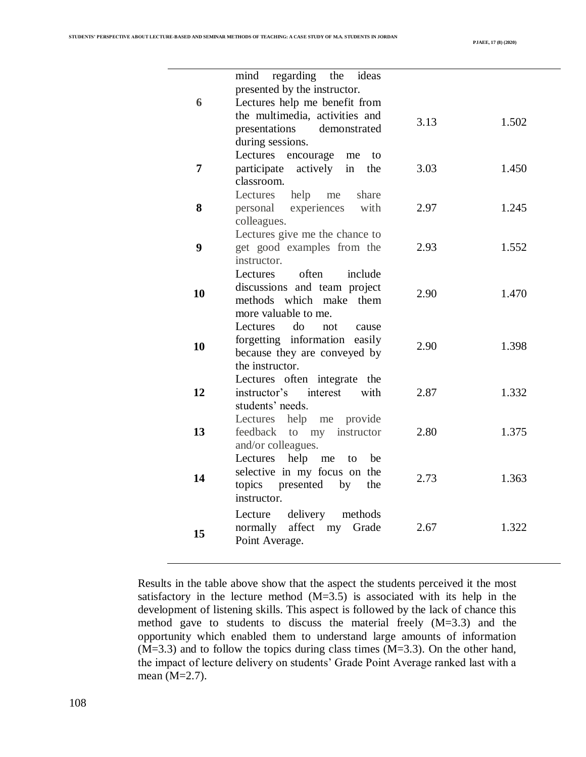|    | regarding the<br>mind<br>ideas        |      |       |
|----|---------------------------------------|------|-------|
|    | presented by the instructor.          |      |       |
| 6  | Lectures help me benefit from         |      |       |
|    | the multimedia, activities and        |      |       |
|    | presentations<br>demonstrated         | 3.13 | 1.502 |
|    |                                       |      |       |
|    | during sessions.                      |      |       |
|    | Lectures<br>encourage<br>me<br>to     |      |       |
| 7  | participate<br>actively in<br>the     | 3.03 | 1.450 |
|    | classroom.                            |      |       |
|    | help<br>Lectures<br>share<br>me       |      |       |
| 8  | experiences<br>with<br>personal       | 2.97 | 1.245 |
|    | colleagues.                           |      |       |
|    | Lectures give me the chance to        |      |       |
| 9  | get good examples from the            | 2.93 | 1.552 |
|    | instructor.                           |      |       |
|    | often<br>include<br>Lectures          |      |       |
| 10 | discussions and team project          | 2.90 | 1.470 |
|    | methods which make<br>them            |      |       |
|    | more valuable to me.                  |      |       |
|    | do<br><b>Lectures</b><br>not<br>cause |      |       |
| 10 | forgetting information easily         | 2.90 | 1.398 |
|    | because they are conveyed by          |      |       |
|    | the instructor.                       |      |       |
|    | Lectures often integrate the          |      |       |
| 12 | instructor's<br>interest<br>with      | 2.87 | 1.332 |
|    | students' needs.                      |      |       |
|    | Lectures help me provide              |      |       |
| 13 | instructor<br>feedback to my          | 2.80 | 1.375 |
|    | and/or colleagues.                    |      |       |
|    | help<br>Lectures<br>me<br>to<br>be    |      |       |
| 14 | selective in my focus on the          | 2.73 | 1.363 |
|    | presented<br>topics<br>the<br>by      |      |       |
|    | instructor.                           |      |       |
|    | delivery<br>methods<br>Lecture        |      |       |
|    | affect<br>normally<br>my<br>Grade     | 2.67 | 1.322 |
| 15 | Point Average.                        |      |       |
|    |                                       |      |       |

Results in the table above show that the aspect the students perceived it the most satisfactory in the lecture method  $(M=3.5)$  is associated with its help in the development of listening skills. This aspect is followed by the lack of chance this method gave to students to discuss the material freely (M=3.3) and the opportunity which enabled them to understand large amounts of information (M=3.3) and to follow the topics during class times (M=3.3). On the other hand, the impact of lecture delivery on students' Grade Point Average ranked last with a mean (M=2.7).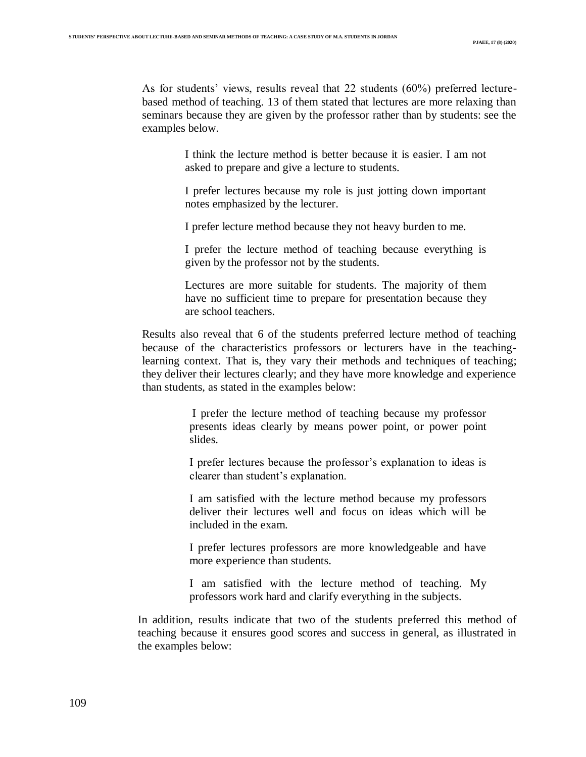As for students' views, results reveal that 22 students (60%) preferred lecturebased method of teaching. 13 of them stated that lectures are more relaxing than seminars because they are given by the professor rather than by students: see the examples below.

> I think the lecture method is better because it is easier. I am not asked to prepare and give a lecture to students.

> I prefer lectures because my role is just jotting down important notes emphasized by the lecturer.

I prefer lecture method because they not heavy burden to me.

I prefer the lecture method of teaching because everything is given by the professor not by the students.

Lectures are more suitable for students. The majority of them have no sufficient time to prepare for presentation because they are school teachers.

Results also reveal that 6 of the students preferred lecture method of teaching because of the characteristics professors or lecturers have in the teachinglearning context. That is, they vary their methods and techniques of teaching; they deliver their lectures clearly; and they have more knowledge and experience than students, as stated in the examples below:

> I prefer the lecture method of teaching because my professor presents ideas clearly by means power point, or power point slides.

> I prefer lectures because the professor's explanation to ideas is clearer than student's explanation.

> I am satisfied with the lecture method because my professors deliver their lectures well and focus on ideas which will be included in the exam.

> I prefer lectures professors are more knowledgeable and have more experience than students.

> I am satisfied with the lecture method of teaching. My professors work hard and clarify everything in the subjects.

In addition, results indicate that two of the students preferred this method of teaching because it ensures good scores and success in general, as illustrated in the examples below: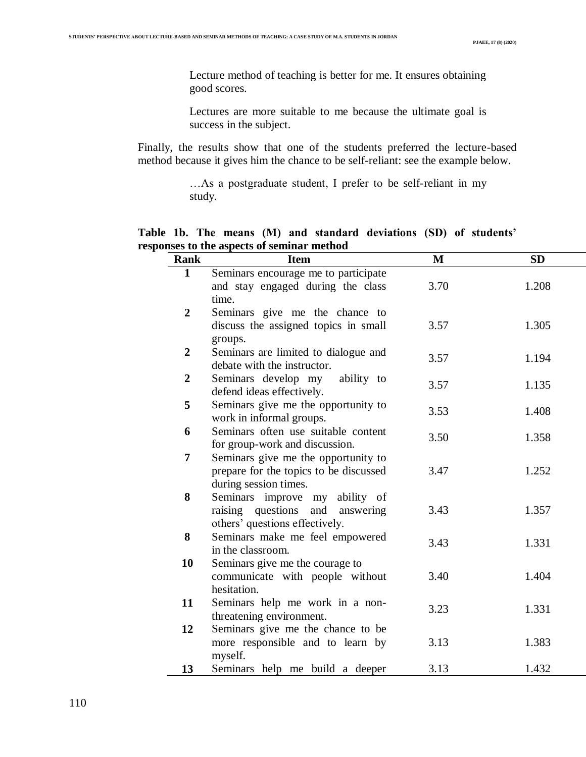Lecture method of teaching is better for me. It ensures obtaining good scores.

Lectures are more suitable to me because the ultimate goal is success in the subject.

Finally, the results show that one of the students preferred the lecture-based method because it gives him the chance to be self-reliant: see the example below.

> …As a postgraduate student, I prefer to be self-reliant in my study.

**Table 1b. The means (M) and standard deviations (SD) of students' responses to the aspects of seminar method**

| <b>Rank</b>    | <b>Item</b>                                                     | M    | <b>SD</b> |
|----------------|-----------------------------------------------------------------|------|-----------|
| $\mathbf{1}$   | Seminars encourage me to participate                            |      |           |
|                | and stay engaged during the class                               | 3.70 | 1.208     |
|                | time.                                                           |      |           |
| $\overline{2}$ | Seminars give me the chance to                                  |      |           |
|                | discuss the assigned topics in small                            | 3.57 | 1.305     |
|                | groups.                                                         |      |           |
| $\overline{2}$ | Seminars are limited to dialogue and                            | 3.57 | 1.194     |
|                | debate with the instructor.                                     |      |           |
| $\overline{2}$ | Seminars develop my<br>ability to                               | 3.57 | 1.135     |
|                | defend ideas effectively.                                       |      |           |
| 5              | Seminars give me the opportunity to<br>work in informal groups. | 3.53 | 1.408     |
| 6              | Seminars often use suitable content                             |      |           |
|                | for group-work and discussion.                                  | 3.50 | 1.358     |
| 7              | Seminars give me the opportunity to                             |      |           |
|                | prepare for the topics to be discussed                          | 3.47 | 1.252     |
|                | during session times.                                           |      |           |
| 8              | Seminars improve my<br>ability of                               |      |           |
|                | raising questions and<br>answering                              | 3.43 | 1.357     |
|                | others' questions effectively.                                  |      |           |
| 8              | Seminars make me feel empowered                                 | 3.43 | 1.331     |
|                | in the classroom.                                               |      |           |
| 10             | Seminars give me the courage to                                 |      |           |
|                | communicate with people without                                 | 3.40 | 1.404     |
|                | hesitation.                                                     |      |           |
| 11             | Seminars help me work in a non-                                 | 3.23 | 1.331     |
|                | threatening environment.                                        |      |           |
| 12             | Seminars give me the chance to be                               |      |           |
|                | more responsible and to learn by                                | 3.13 | 1.383     |
|                | myself.                                                         |      |           |
| 13             | Seminars help me build a deeper                                 | 3.13 | 1.432     |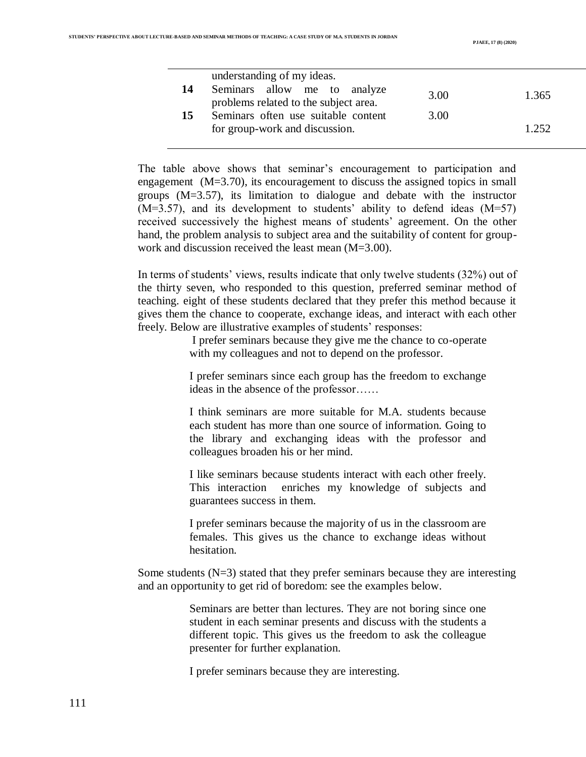|    | understanding of my ideas.                                            |      |       |
|----|-----------------------------------------------------------------------|------|-------|
| 14 | Seminars allow me to analyze<br>problems related to the subject area. | 3.00 | 1.365 |
| 15 | Seminars often use suitable content<br>for group-work and discussion. | 3.00 | 1.252 |

The table above shows that seminar's encouragement to participation and engagement (M=3.70), its encouragement to discuss the assigned topics in small groups (M=3.57), its limitation to dialogue and debate with the instructor  $(M=3.57)$ , and its development to students' ability to defend ideas  $(M=57)$ received successively the highest means of students' agreement. On the other hand, the problem analysis to subject area and the suitability of content for groupwork and discussion received the least mean (M=3.00).

In terms of students' views, results indicate that only twelve students (32%) out of the thirty seven, who responded to this question, preferred seminar method of teaching. eight of these students declared that they prefer this method because it gives them the chance to cooperate, exchange ideas, and interact with each other freely. Below are illustrative examples of students' responses:

> I prefer seminars because they give me the chance to co-operate with my colleagues and not to depend on the professor.

> I prefer seminars since each group has the freedom to exchange ideas in the absence of the professor……

> I think seminars are more suitable for M.A. students because each student has more than one source of information. Going to the library and exchanging ideas with the professor and colleagues broaden his or her mind.

> I like seminars because students interact with each other freely. This interaction enriches my knowledge of subjects and guarantees success in them.

> I prefer seminars because the majority of us in the classroom are females. This gives us the chance to exchange ideas without hesitation.

Some students (N=3) stated that they prefer seminars because they are interesting and an opportunity to get rid of boredom: see the examples below.

> Seminars are better than lectures. They are not boring since one student in each seminar presents and discuss with the students a different topic. This gives us the freedom to ask the colleague presenter for further explanation.

I prefer seminars because they are interesting.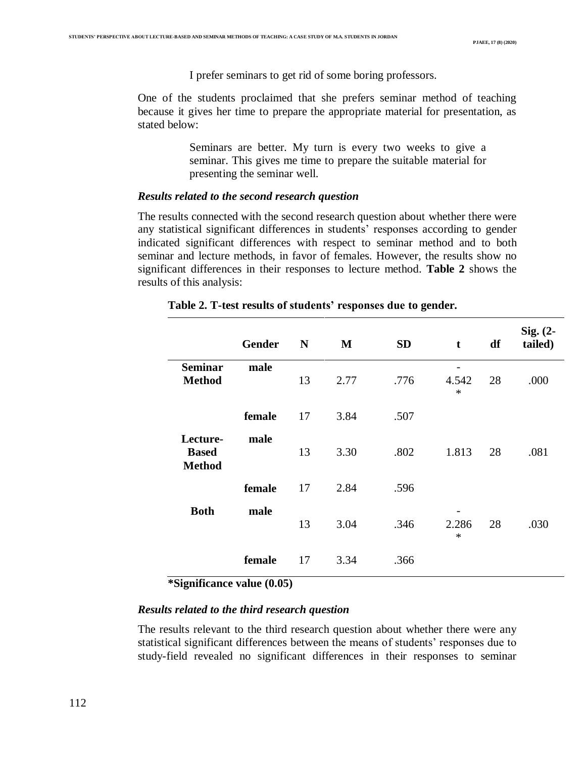I prefer seminars to get rid of some boring professors.

One of the students proclaimed that she prefers seminar method of teaching because it gives her time to prepare the appropriate material for presentation, as stated below:

> Seminars are better. My turn is every two weeks to give a seminar. This gives me time to prepare the suitable material for presenting the seminar well.

#### *Results related to the second research question*

The results connected with the second research question about whether there were any statistical significant differences in students' responses according to gender indicated significant differences with respect to seminar method and to both seminar and lecture methods, in favor of females. However, the results show no significant differences in their responses to lecture method. **Table 2** shows the results of this analysis:

|                                           | <b>Gender</b> | N  | M    | <b>SD</b> | t               | df | Sig. (2-<br>tailed) |
|-------------------------------------------|---------------|----|------|-----------|-----------------|----|---------------------|
| <b>Seminar</b><br><b>Method</b>           | male          | 13 | 2.77 | .776      | 4.542<br>$\ast$ | 28 | .000                |
|                                           | female        | 17 | 3.84 | .507      |                 |    |                     |
| Lecture-<br><b>Based</b><br><b>Method</b> | male          | 13 | 3.30 | .802      | 1.813           | 28 | .081                |
|                                           | female        | 17 | 2.84 | .596      |                 |    |                     |
| <b>Both</b>                               | male          | 13 | 3.04 | .346      | 2.286<br>$\ast$ | 28 | .030                |
|                                           | female        | 17 | 3.34 | .366      |                 |    |                     |

## **Table 2. T-test results of students' responses due to gender.**

**\*Significance value (0.05)**

#### *Results related to the third research question*

The results relevant to the third research question about whether there were any statistical significant differences between the means of students' responses due to study-field revealed no significant differences in their responses to seminar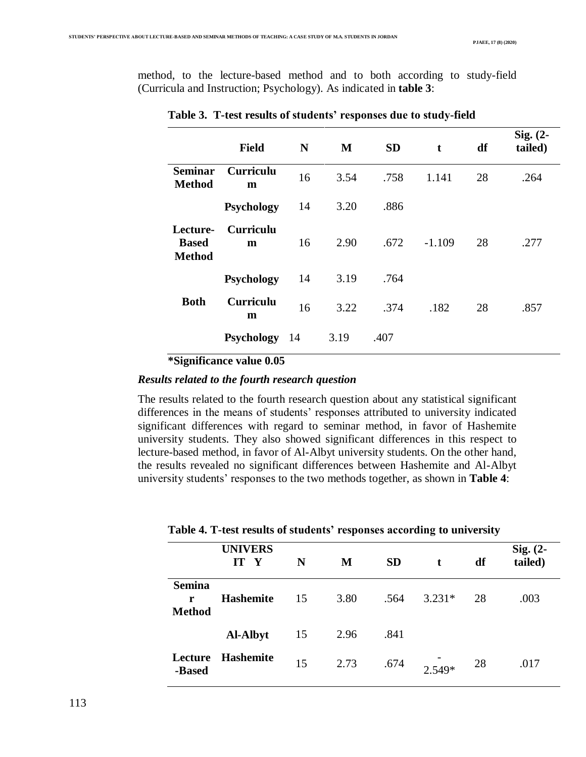method, to the lecture-based method and to both according to study-field (Curricula and Instruction; Psychology). As indicated in **table 3**:

|                                           | <b>Field</b>          | N   | M    | <b>SD</b> | t        | df | Sig. $(2-$<br>tailed) |
|-------------------------------------------|-----------------------|-----|------|-----------|----------|----|-----------------------|
| <b>Seminar</b><br><b>Method</b>           | Curriculu<br>m        | 16  | 3.54 | .758      | 1.141    | 28 | .264                  |
|                                           | <b>Psychology</b>     | 14  | 3.20 | .886      |          |    |                       |
| Lecture-<br><b>Based</b><br><b>Method</b> | <b>Curriculu</b><br>m | 16  | 2.90 | .672      | $-1.109$ | 28 | .277                  |
|                                           | <b>Psychology</b>     | 14  | 3.19 | .764      |          |    |                       |
| <b>Both</b>                               | <b>Curriculu</b><br>m | 16  | 3.22 | .374      | .182     | 28 | .857                  |
|                                           | <b>Psychology</b>     | -14 | 3.19 | .407      |          |    |                       |

**Table 3. T-test results of students' responses due to study-field**

**\*Significance value 0.05**

#### *Results related to the fourth research question*

The results related to the fourth research question about any statistical significant differences in the means of students' responses attributed to university indicated significant differences with regard to seminar method, in favor of Hashemite university students. They also showed significant differences in this respect to lecture-based method, in favor of Al-Albyt university students. On the other hand, the results revealed no significant differences between Hashemite and Al-Albyt university students' responses to the two methods together, as shown in **Table 4**:

|                                     | <b>UNIVERS</b><br>IT<br>$\mathbf Y$ | N  | M    | <b>SD</b> | t        | df | Sig. $(2-$<br>tailed) |
|-------------------------------------|-------------------------------------|----|------|-----------|----------|----|-----------------------|
| <b>Semina</b><br>r<br><b>Method</b> | <b>Hashemite</b>                    | 15 | 3.80 | .564      | $3.231*$ | 28 | .003                  |
|                                     | <b>Al-Albyt</b>                     | 15 | 2.96 | .841      |          |    |                       |
| Lecture<br>-Based                   | Hashemite                           | 15 | 2.73 | .674      | $2.549*$ | 28 | .017                  |

#### **Table 4. T-test results of students' responses according to university**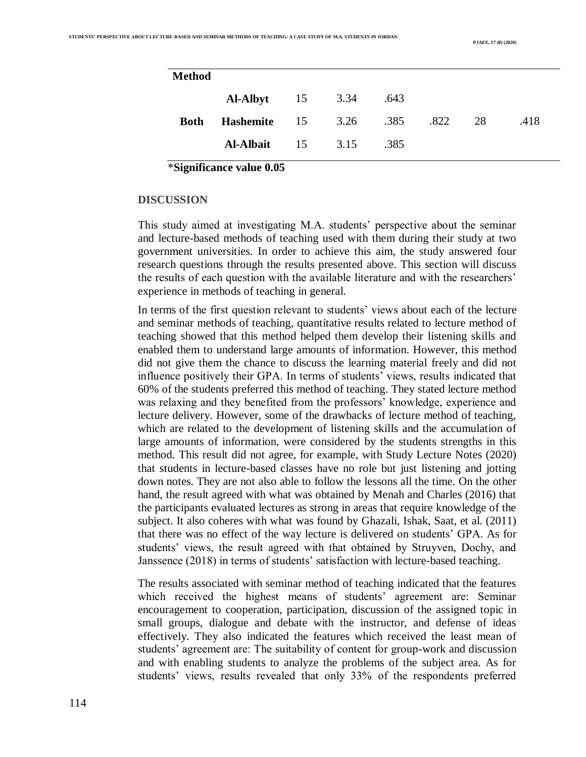| <b>Method</b> |                                    |         |      |    |      |
|---------------|------------------------------------|---------|------|----|------|
|               | <b>Al-Albyt</b> 15 3.34            |         | .643 |    |      |
| <b>Both</b>   | <b>Hashemite</b> 15 3.26 .385 .822 |         |      | 28 | .418 |
|               | <b>Al-Albait</b>                   | 15 3.15 | .385 |    |      |

**\*Significance value 0.05**

#### **DISCUSSION**

This study aimed at investigating M.A. students' perspective about the seminar and lecture-based methods of teaching used with them during their study at two government universities. In order to achieve this aim, the study answered four research questions through the results presented above. This section will discuss the results of each question with the available literature and with the researchers' experience in methods of teaching in general.

In terms of the first question relevant to students' views about each of the lecture and seminar methods of teaching, quantitative results related to lecture method of teaching showed that this method helped them develop their listening skills and enabled them to understand large amounts of information. However, this method did not give them the chance to discuss the learning material freely and did not influence positively their GPA. In terms of students' views, results indicated that 60% of the students preferred this method of teaching. They stated lecture method was relaxing and they benefited from the professors' knowledge, experience and lecture delivery. However, some of the drawbacks of lecture method of teaching, which are related to the development of listening skills and the accumulation of large amounts of information, were considered by the students strengths in this method. This result did not agree, for example, with Study Lecture Notes (2020) that students in lecture-based classes have no role but just listening and jotting down notes. They are not also able to follow the lessons all the time. On the other hand, the result agreed with what was obtained by Menah and Charles (2016) that the participants evaluated lectures as strong in areas that require knowledge of the subject. It also coheres with what was found by Ghazali, Ishak, Saat, et al. (2011) that there was no effect of the way lecture is delivered on students' GPA. As for students' views, the result agreed with that obtained by Struyven, Dochy, and Janssence (2018) in terms of students' satisfaction with lecture-based teaching.

The results associated with seminar method of teaching indicated that the features which received the highest means of students' agreement are: Seminar encouragement to cooperation, participation, discussion of the assigned topic in small groups, dialogue and debate with the instructor, and defense of ideas effectively. They also indicated the features which received the least mean of students' agreement are: The suitability of content for group-work and discussion and with enabling students to analyze the problems of the subject area. As for students' views, results revealed that only 33% of the respondents preferred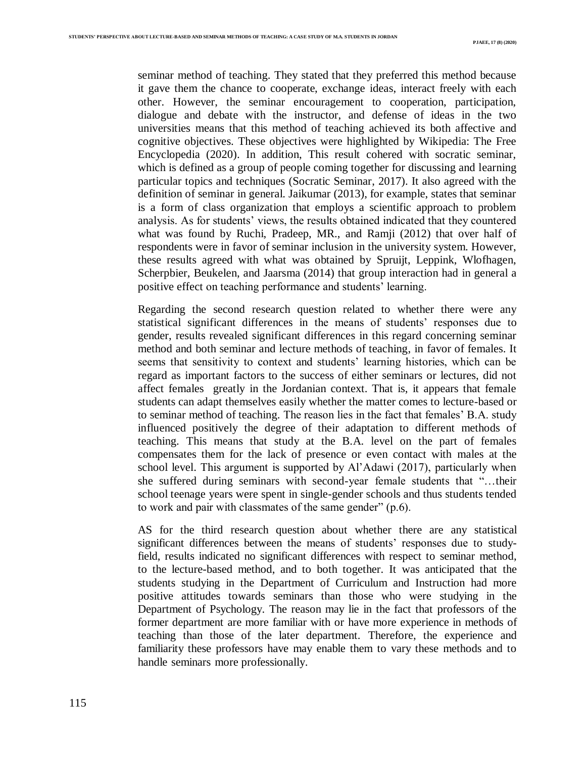seminar method of teaching. They stated that they preferred this method because it gave them the chance to cooperate, exchange ideas, interact freely with each other. However, the seminar encouragement to cooperation, participation, dialogue and debate with the instructor, and defense of ideas in the two universities means that this method of teaching achieved its both affective and cognitive objectives. These objectives were highlighted by Wikipedia: The Free Encyclopedia (2020). In addition, This result cohered with socratic seminar, which is defined as a group of people coming together for discussing and learning particular topics and techniques (Socratic Seminar, 2017). It also agreed with the definition of seminar in general. Jaikumar (2013), for example, states that seminar is a form of class organization that employs a scientific approach to problem analysis. As for students' views, the results obtained indicated that they countered what was found by Ruchi, Pradeep, MR., and Ramji (2012) that over half of respondents were in favor of seminar inclusion in the university system. However, these results agreed with what was obtained by Spruijt, Leppink, Wlofhagen, Scherpbier, Beukelen, and Jaarsma (2014) that group interaction had in general a positive effect on teaching performance and students' learning.

Regarding the second research question related to whether there were any statistical significant differences in the means of students' responses due to gender, results revealed significant differences in this regard concerning seminar method and both seminar and lecture methods of teaching, in favor of females. It seems that sensitivity to context and students' learning histories, which can be regard as important factors to the success of either seminars or lectures, did not affect females greatly in the Jordanian context. That is, it appears that female students can adapt themselves easily whether the matter comes to lecture-based or to seminar method of teaching. The reason lies in the fact that females' B.A. study influenced positively the degree of their adaptation to different methods of teaching. This means that study at the B.A. level on the part of females compensates them for the lack of presence or even contact with males at the school level. This argument is supported by Al'Adawi (2017), particularly when she suffered during seminars with second-year female students that "…their school teenage years were spent in single-gender schools and thus students tended to work and pair with classmates of the same gender" (p.6).

AS for the third research question about whether there are any statistical significant differences between the means of students' responses due to studyfield, results indicated no significant differences with respect to seminar method, to the lecture-based method, and to both together. It was anticipated that the students studying in the Department of Curriculum and Instruction had more positive attitudes towards seminars than those who were studying in the Department of Psychology. The reason may lie in the fact that professors of the former department are more familiar with or have more experience in methods of teaching than those of the later department. Therefore, the experience and familiarity these professors have may enable them to vary these methods and to handle seminars more professionally.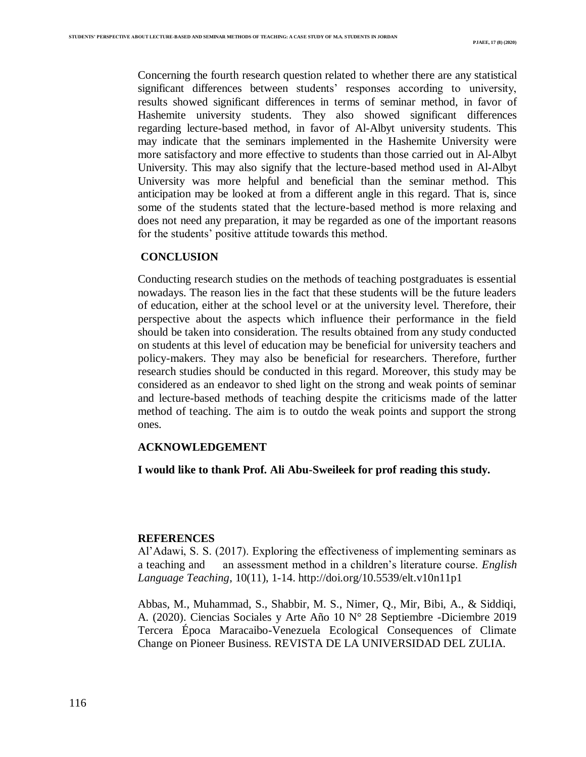Concerning the fourth research question related to whether there are any statistical significant differences between students' responses according to university, results showed significant differences in terms of seminar method, in favor of Hashemite university students. They also showed significant differences regarding lecture-based method, in favor of Al-Albyt university students. This may indicate that the seminars implemented in the Hashemite University were more satisfactory and more effective to students than those carried out in Al-Albyt University. This may also signify that the lecture-based method used in Al-Albyt University was more helpful and beneficial than the seminar method. This anticipation may be looked at from a different angle in this regard. That is, since some of the students stated that the lecture-based method is more relaxing and does not need any preparation, it may be regarded as one of the important reasons for the students' positive attitude towards this method.

#### **CONCLUSION**

Conducting research studies on the methods of teaching postgraduates is essential nowadays. The reason lies in the fact that these students will be the future leaders of education, either at the school level or at the university level. Therefore, their perspective about the aspects which influence their performance in the field should be taken into consideration. The results obtained from any study conducted on students at this level of education may be beneficial for university teachers and policy-makers. They may also be beneficial for researchers. Therefore, further research studies should be conducted in this regard. Moreover, this study may be considered as an endeavor to shed light on the strong and weak points of seminar and lecture-based methods of teaching despite the criticisms made of the latter method of teaching. The aim is to outdo the weak points and support the strong ones.

# **ACKNOWLEDGEMENT**

**I would like to thank Prof. Ali Abu-Sweileek for prof reading this study.**

## **REFERENCES**

Al'Adawi, S. S. (2017). Exploring the effectiveness of implementing seminars as a teaching and an assessment method in a children's literature course. *English Language Teaching*, 10(11), 1-14. http:/[/doi.org/10.5539/elt.v10n11p1](http://doi.org/10.5539/elt.v10n11p1)

Abbas, M., Muhammad, S., Shabbir, M. S., Nimer, Q., Mir, Bibi, A., & Siddiqi, A. (2020). Ciencias Sociales y Arte Año 10 N° 28 Septiembre -Diciembre 2019 Tercera Época Maracaibo-Venezuela Ecological Consequences of Climate Change on Pioneer Business. REVISTA DE LA UNIVERSIDAD DEL ZULIA.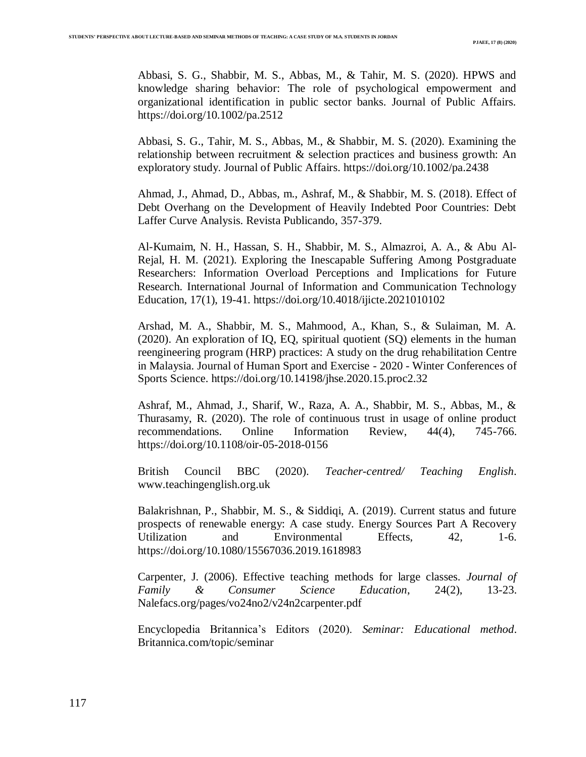Abbasi, S. G., Shabbir, M. S., Abbas, M., & Tahir, M. S. (2020). HPWS and knowledge sharing behavior: The role of psychological empowerment and organizational identification in public sector banks. Journal of Public Affairs. https://doi.org/10.1002/pa.2512

Abbasi, S. G., Tahir, M. S., Abbas, M., & Shabbir, M. S. (2020). Examining the relationship between recruitment & selection practices and business growth: An exploratory study. Journal of Public Affairs. https://doi.org/10.1002/pa.2438

Ahmad, J., Ahmad, D., Abbas, m., Ashraf, M., & Shabbir, M. S. (2018). Effect of Debt Overhang on the Development of Heavily Indebted Poor Countries: Debt Laffer Curve Analysis. Revista Publicando, 357-379.

Al-Kumaim, N. H., Hassan, S. H., Shabbir, M. S., Almazroi, A. A., & Abu Al-Rejal, H. M. (2021). Exploring the Inescapable Suffering Among Postgraduate Researchers: Information Overload Perceptions and Implications for Future Research. International Journal of Information and Communication Technology Education, 17(1), 19-41. https://doi.org/10.4018/ijicte.2021010102

Arshad, M. A., Shabbir, M. S., Mahmood, A., Khan, S., & Sulaiman, M. A. (2020). An exploration of IQ, EQ, spiritual quotient (SQ) elements in the human reengineering program (HRP) practices: A study on the drug rehabilitation Centre in Malaysia. Journal of Human Sport and Exercise - 2020 - Winter Conferences of Sports Science. https://doi.org/10.14198/jhse.2020.15.proc2.32

Ashraf, M., Ahmad, J., Sharif, W., Raza, A. A., Shabbir, M. S., Abbas, M., & Thurasamy, R. (2020). The role of continuous trust in usage of online product recommendations. Online Information Review, 44(4), 745-766. https://doi.org/10.1108/oir-05-2018-0156

British Council BBC (2020). *Teacher-centred/ Teaching English*. [www.teachinge](http://www.teaching/)nglish.org.uk

Balakrishnan, P., Shabbir, M. S., & Siddiqi, A. (2019). Current status and future prospects of renewable energy: A case study. Energy Sources Part A Recovery Utilization and Environmental Effects, 42, 1-6. https://doi.org/10.1080/15567036.2019.1618983

Carpenter, J. (2006). Effective teaching methods for large classes. *Journal of Family & Consumer Science Education*, 24(2), 13-23. Nalefacs.org/pages/vo24no2/v24n2carpenter.pdf

Encyclopedia Britannica's Editors (2020). *Seminar: Educational method*. Britannica.com/topic/seminar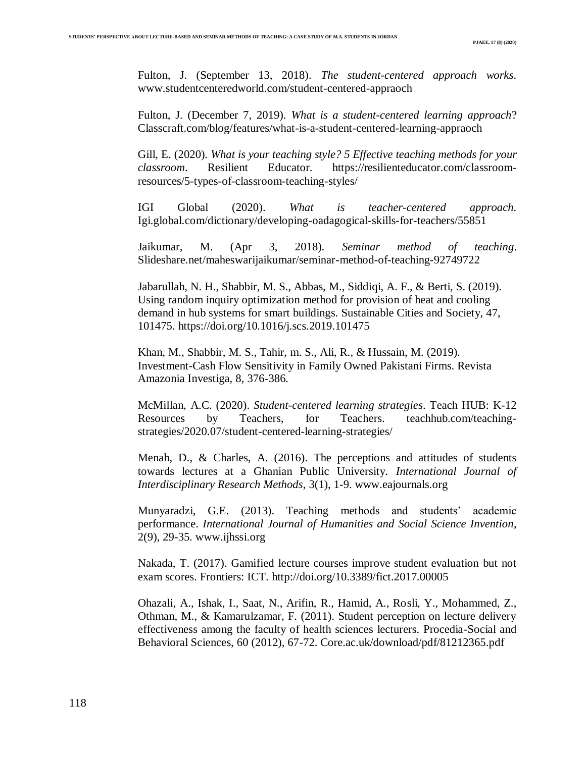Fulton, J. (September 13, 2018). *The student-centered approach works*. www.studentcenteredworld.com/student-centered-appraoch

Fulton, J. (December 7, 2019). *What is a student-centered learning approach*? Classcraft.com/blog/features/what-is-a-student-centered-learning-appraoch

Gill, E. (2020). *What is your teaching style? 5 Effective teaching methods for your classroom*. Resilient Educator. https://resilienteducator.com/classroomresources/5-types-of-classroom-teaching-styles/

IGI Global (2020). *What is teacher-centered approach*. Igi.global.com/dictionary/developing-oadagogical-skills-for-teachers/55851

Jaikumar, M. (Apr 3, 2018). *Seminar method of teaching*. Slideshare.net/maheswarijaikumar/seminar-method-of-teaching-92749722

Jabarullah, N. H., Shabbir, M. S., Abbas, M., Siddiqi, A. F., & Berti, S. (2019). Using random inquiry optimization method for provision of heat and cooling demand in hub systems for smart buildings. Sustainable Cities and Society, 47, 101475. https://doi.org/10.1016/j.scs.2019.101475

Khan, M., Shabbir, M. S., Tahir, m. S., Ali, R., & Hussain, M. (2019). Investment-Cash Flow Sensitivity in Family Owned Pakistani Firms. Revista Amazonia Investiga, 8, 376-386.

McMillan, A.C. (2020). *Student-centered learning strategies*. Teach HUB: K-12 Resources by Teachers, for Teachers. teachhub.com/teachingstrategies/2020.07/student-centered-learning-strategies/

Menah, D., & Charles, A. (2016). The perceptions and attitudes of students towards lectures at a Ghanian Public University. *International Journal of Interdisciplinary Research Methods*, 3(1), 1-9. [www.eajournals.org](http://www.eajournals.org/)

Munyaradzi, G.E. (2013). Teaching methods and students' academic performance. *International Journal of Humanities and Social Science Invention*, 2(9), 29-35. [www.ijhssi.org](http://www.ijhssi.org/)

Nakada, T. (2017). Gamified lecture courses improve student evaluation but not exam scores. Frontiers: ICT.<http://doi.org/10.3389/fict.2017.00005>

Ohazali, A., Ishak, I., Saat, N., Arifin, R., Hamid, A., Rosli, Y., Mohammed, Z., Othman, M., & Kamarulzamar, F. (2011). Student perception on lecture delivery effectiveness among the faculty of health sciences lecturers. Procedia-Social and Behavioral Sciences, 60 (2012), 67-72. Core.ac.uk/download/pdf/81212365.pdf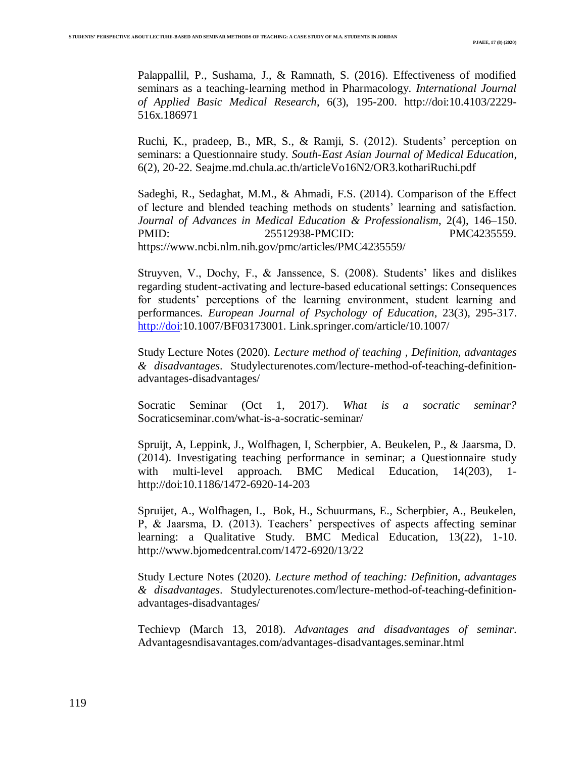Palappallil, P., Sushama, J., & Ramnath, S. (2016). Effectiveness of modified seminars as a teaching-learning method in Pharmacology. *International Journal of Applied Basic Medical Research*, 6(3), 195-200. [http://doi:10.4103/2229-](http://doi:10.4103/2229-516x.186971) [516x.186971](http://doi:10.4103/2229-516x.186971)

Ruchi, K., pradeep, B., MR, S., & Ramji, S. (2012). Students' perception on seminars: a Questionnaire study. *South-East Asian Journal of Medical Education*, 6(2), 20-22. Seajme.md.chula.ac.th/articleVo16N2/OR3.kothariRuchi.pdf

Sadeghi, R., Sedaghat, M.M., & Ahmadi, F.S. (2014). Comparison of the Effect of lecture and blended teaching methods on students' learning and satisfaction*. Journal of Advances in Medical Education & Professionalism*, 2(4), 146–150. PMID: 25512938-PMCID: PMC4235559. <https://www.ncbi.nlm.nih.gov/pmc/articles/PMC4235559/>

Struyven, V., Dochy, F., & Janssence, S. (2008). Students' likes and dislikes regarding student-activating and lecture-based educational settings: Consequences for students' perceptions of the learning environment, student learning and performances. *European Journal of Psychology of Education*, 23(3), 295-317. [http://doi:](http://doi/)10.1007/BF03173001. Link.springer.com/article/10.1007/

Study Lecture Notes (2020). *Lecture method of teaching , Definition, advantages & disadvantages*. Studylecturenotes.com/lecture-method-of-teaching-definitionadvantages-disadvantages/

Socratic Seminar (Oct 1, 2017). *What is a socratic seminar?* Socraticseminar.com/what-is-a-socratic-seminar/

Spruijt, A, Leppink, J., Wolfhagen, I, Scherpbier, A. Beukelen, P., & Jaarsma, D. (2014). Investigating teaching performance in seminar; a Questionnaire study with multi-level approach. BMC Medical Education, 14(203), 1http://doi:10.1186/1472-6920-14-203

Spruijet, A., Wolfhagen, I., Bok, H., Schuurmans, E., Scherpbier, A., Beukelen, P, & Jaarsma, D. (2013). Teachers' perspectives of aspects affecting seminar learning: a Qualitative Study. BMC Medical Education, 13(22), 1-10. http://www.bjomedcentral.com/1472-6920/13/22

Study Lecture Notes (2020). *Lecture method of teaching: Definition, advantages & disadvantages*. Studylecturenotes.com/lecture-method-of-teaching-definitionadvantages-disadvantages/

Techievp (March 13, 2018). *Advantages and disadvantages of seminar*. Advantagesndisavantages.com/advantages-disadvantages.seminar.html